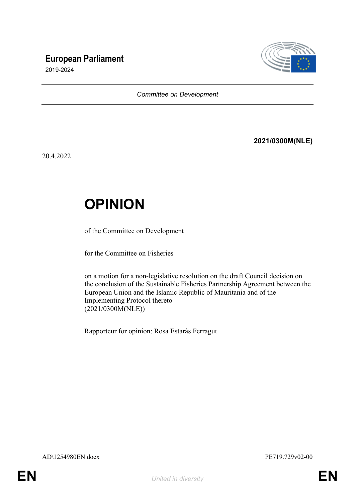# **European Parliament**



2019-2024

#### *Committee on Development*

### **2021/0300M(NLE)**

20.4.2022

# **OPINION**

of the Committee on Development

for the Committee on Fisheries

on a motion for a non-legislative resolution on the draft Council decision on the conclusion of the Sustainable Fisheries Partnership Agreement between the European Union and the Islamic Republic of Mauritania and of the Implementing Protocol thereto (2021/0300M(NLE))

Rapporteur for opinion: Rosa Estaràs Ferragut

AD\1254980EN.docx PE719.729v02-00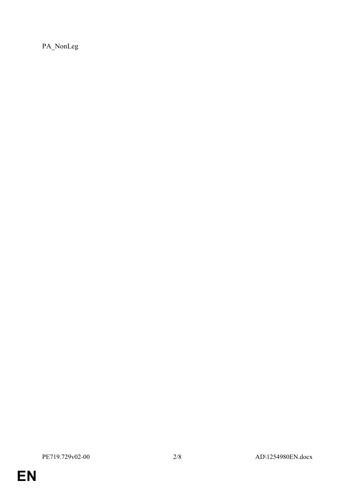PA\_NonLeg

**EN**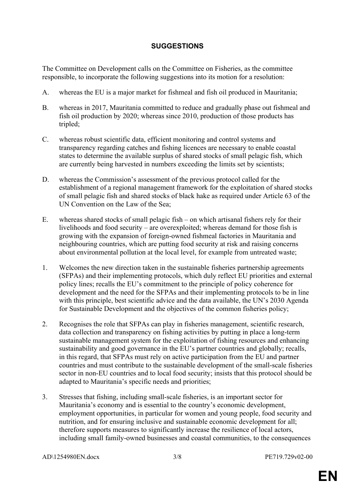### **SUGGESTIONS**

The Committee on Development calls on the Committee on Fisheries, as the committee responsible, to incorporate the following suggestions into its motion for a resolution:

- A. whereas the EU is a major market for fishmeal and fish oil produced in Mauritania;
- B. whereas in 2017, Mauritania committed to reduce and gradually phase out fishmeal and fish oil production by 2020; whereas since 2010, production of those products has tripled;
- C. whereas robust scientific data, efficient monitoring and control systems and transparency regarding catches and fishing licences are necessary to enable coastal states to determine the available surplus of shared stocks of small pelagic fish, which are currently being harvested in numbers exceeding the limits set by scientists;
- D. whereas the Commission's assessment of the previous protocol called for the establishment of a regional management framework for the exploitation of shared stocks of small pelagic fish and shared stocks of black hake as required under Article 63 of the UN Convention on the Law of the Sea;
- E. whereas shared stocks of small pelagic fish on which artisanal fishers rely for their livelihoods and food security – are overexploited; whereas demand for those fish is growing with the expansion of foreign-owned fishmeal factories in Mauritania and neighbouring countries, which are putting food security at risk and raising concerns about environmental pollution at the local level, for example from untreated waste;
- 1. Welcomes the new direction taken in the sustainable fisheries partnership agreements (SFPAs) and their implementing protocols, which duly reflect EU priorities and external policy lines; recalls the EU's commitment to the principle of policy coherence for development and the need for the SFPAs and their implementing protocols to be in line with this principle, best scientific advice and the data available, the UN's 2030 Agenda for Sustainable Development and the objectives of the common fisheries policy;
- 2. Recognises the role that SFPAs can play in fisheries management, scientific research, data collection and transparency on fishing activities by putting in place a long-term sustainable management system for the exploitation of fishing resources and enhancing sustainability and good governance in the EU's partner countries and globally; recalls, in this regard, that SFPAs must rely on active participation from the EU and partner countries and must contribute to the sustainable development of the small-scale fisheries sector in non-EU countries and to local food security; insists that this protocol should be adapted to Mauritania's specific needs and priorities;
- 3. Stresses that fishing, including small-scale fisheries, is an important sector for Mauritania's economy and is essential to the country's economic development, employment opportunities, in particular for women and young people, food security and nutrition, and for ensuring inclusive and sustainable economic development for all; therefore supports measures to significantly increase the resilience of local actors, including small family-owned businesses and coastal communities, to the consequences

AD\1254980EN.docx 3/8 PE719.729v02-00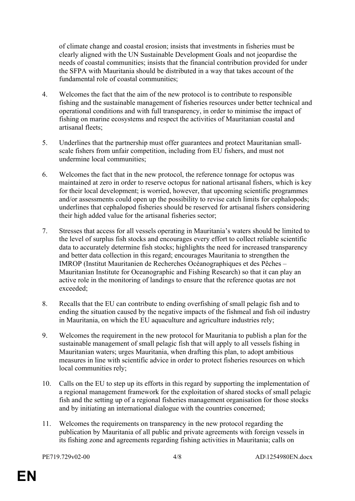of climate change and coastal erosion; insists that investments in fisheries must be clearly aligned with the UN Sustainable Development Goals and not jeopardise the needs of coastal communities; insists that the financial contribution provided for under the SFPA with Mauritania should be distributed in a way that takes account of the fundamental role of coastal communities;

- 4. Welcomes the fact that the aim of the new protocol is to contribute to responsible fishing and the sustainable management of fisheries resources under better technical and operational conditions and with full transparency, in order to minimise the impact of fishing on marine ecosystems and respect the activities of Mauritanian coastal and artisanal fleets;
- 5. Underlines that the partnership must offer guarantees and protect Mauritanian smallscale fishers from unfair competition, including from EU fishers, and must not undermine local communities;
- 6. Welcomes the fact that in the new protocol, the reference tonnage for octopus was maintained at zero in order to reserve octopus for national artisanal fishers, which is key for their local development; is worried, however, that upcoming scientific programmes and/or assessments could open up the possibility to revise catch limits for cephalopods; underlines that cephalopod fisheries should be reserved for artisanal fishers considering their high added value for the artisanal fisheries sector;
- 7. Stresses that access for all vessels operating in Mauritania's waters should be limited to the level of surplus fish stocks and encourages every effort to collect reliable scientific data to accurately determine fish stocks; highlights the need for increased transparency and better data collection in this regard; encourages Mauritania to strengthen the IMROP (Institut Mauritanien de Recherches Océanographiques et des Pêches – Mauritanian Institute for Oceanographic and Fishing Research) so that it can play an active role in the monitoring of landings to ensure that the reference quotas are not exceeded;
- 8. Recalls that the EU can contribute to ending overfishing of small pelagic fish and to ending the situation caused by the negative impacts of the fishmeal and fish oil industry in Mauritania, on which the EU aquaculture and agriculture industries rely;
- 9. Welcomes the requirement in the new protocol for Mauritania to publish a plan for the sustainable management of small pelagic fish that will apply to all vessels fishing in Mauritanian waters; urges Mauritania, when drafting this plan, to adopt ambitious measures in line with scientific advice in order to protect fisheries resources on which local communities rely;
- 10. Calls on the EU to step up its efforts in this regard by supporting the implementation of a regional management framework for the exploitation of shared stocks of small pelagic fish and the setting up of a regional fisheries management organisation for those stocks and by initiating an international dialogue with the countries concerned;
- 11. Welcomes the requirements on transparency in the new protocol regarding the publication by Mauritania of all public and private agreements with foreign vessels in its fishing zone and agreements regarding fishing activities in Mauritania; calls on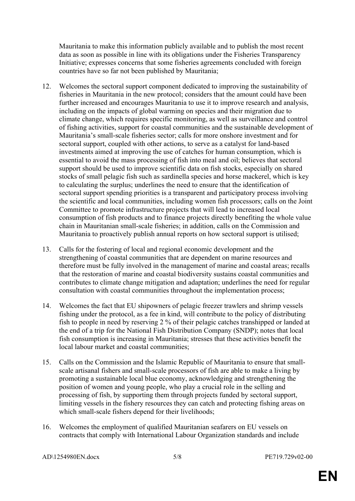Mauritania to make this information publicly available and to publish the most recent data as soon as possible in line with its obligations under the Fisheries Transparency Initiative; expresses concerns that some fisheries agreements concluded with foreign countries have so far not been published by Mauritania;

- 12. Welcomes the sectoral support component dedicated to improving the sustainability of fisheries in Mauritania in the new protocol; considers that the amount could have been further increased and encourages Mauritania to use it to improve research and analysis, including on the impacts of global warming on species and their migration due to climate change, which requires specific monitoring, as well as surveillance and control of fishing activities, support for coastal communities and the sustainable development of Mauritania's small-scale fisheries sector; calls for more onshore investment and for sectoral support, coupled with other actions, to serve as a catalyst for land-based investments aimed at improving the use of catches for human consumption, which is essential to avoid the mass processing of fish into meal and oil; believes that sectoral support should be used to improve scientific data on fish stocks, especially on shared stocks of small pelagic fish such as sardinella species and horse mackerel, which is key to calculating the surplus; underlines the need to ensure that the identification of sectoral support spending priorities is a transparent and participatory process involving the scientific and local communities, including women fish processors; calls on the Joint Committee to promote infrastructure projects that will lead to increased local consumption of fish products and to finance projects directly benefiting the whole value chain in Mauritanian small-scale fisheries; in addition, calls on the Commission and Mauritania to proactively publish annual reports on how sectoral support is utilised;
- 13. Calls for the fostering of local and regional economic development and the strengthening of coastal communities that are dependent on marine resources and therefore must be fully involved in the management of marine and coastal areas; recalls that the restoration of marine and coastal biodiversity sustains coastal communities and contributes to climate change mitigation and adaptation; underlines the need for regular consultation with coastal communities throughout the implementation process;
- 14. Welcomes the fact that EU shipowners of pelagic freezer trawlers and shrimp vessels fishing under the protocol, as a fee in kind, will contribute to the policy of distributing fish to people in need by reserving 2 % of their pelagic catches transhipped or landed at the end of a trip for the National Fish Distribution Company (SNDP); notes that local fish consumption is increasing in Mauritania; stresses that these activities benefit the local labour market and coastal communities;
- 15. Calls on the Commission and the Islamic Republic of Mauritania to ensure that smallscale artisanal fishers and small-scale processors of fish are able to make a living by promoting a sustainable local blue economy, acknowledging and strengthening the position of women and young people, who play a crucial role in the selling and processing of fish, by supporting them through projects funded by sectoral support, limiting vessels in the fishery resources they can catch and protecting fishing areas on which small-scale fishers depend for their livelihoods;
- 16. Welcomes the employment of qualified Mauritanian seafarers on EU vessels on contracts that comply with International Labour Organization standards and include

AD\1254980EN.docx 5/8 PE719.729v02-00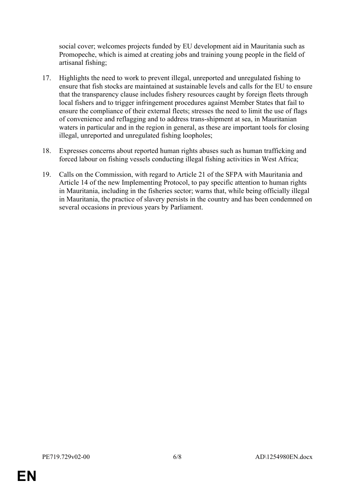social cover; welcomes projects funded by EU development aid in Mauritania such as Promopeche, which is aimed at creating jobs and training young people in the field of artisanal fishing;

- 17. Highlights the need to work to prevent illegal, unreported and unregulated fishing to ensure that fish stocks are maintained at sustainable levels and calls for the EU to ensure that the transparency clause includes fishery resources caught by foreign fleets through local fishers and to trigger infringement procedures against Member States that fail to ensure the compliance of their external fleets; stresses the need to limit the use of flags of convenience and reflagging and to address trans-shipment at sea, in Mauritanian waters in particular and in the region in general, as these are important tools for closing illegal, unreported and unregulated fishing loopholes;
- 18. Expresses concerns about reported human rights abuses such as human trafficking and forced labour on fishing vessels conducting illegal fishing activities in West Africa;
- 19. Calls on the Commission, with regard to Article 21 of the SFPA with Mauritania and Article 14 of the new Implementing Protocol, to pay specific attention to human rights in Mauritania, including in the fisheries sector; warns that, while being officially illegal in Mauritania, the practice of slavery persists in the country and has been condemned on several occasions in previous years by Parliament.

**EN**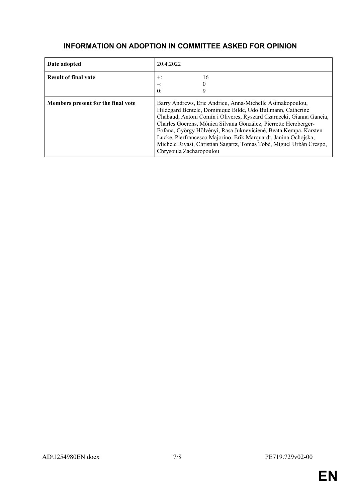| Date adopted                       | 20.4.2022                                                                                                                                                                                                                                                                                                                                                                                                                                                                                                   |
|------------------------------------|-------------------------------------------------------------------------------------------------------------------------------------------------------------------------------------------------------------------------------------------------------------------------------------------------------------------------------------------------------------------------------------------------------------------------------------------------------------------------------------------------------------|
| <b>Result of final vote</b>        | 16<br>$+$ :<br>$\mathbf{0}$ :                                                                                                                                                                                                                                                                                                                                                                                                                                                                               |
| Members present for the final vote | Barry Andrews, Eric Andrieu, Anna-Michelle Asimakopoulou,<br>Hildegard Bentele, Dominique Bilde, Udo Bullmann, Catherine<br>Chabaud, Antoni Comín i Oliveres, Ryszard Czarnecki, Gianna Gancia,<br>Charles Goerens, Mónica Silvana González, Pierrette Herzberger-<br>Fofana, György Hölvényi, Rasa Juknevičienė, Beata Kempa, Karsten<br>Lucke, Pierfrancesco Majorino, Erik Marquardt, Janina Ochojska,<br>Michèle Rivasi, Christian Sagartz, Tomas Tobé, Miguel Urbán Crespo,<br>Chrysoula Zacharopoulou |

### **INFORMATION ON ADOPTION IN COMMITTEE ASKED FOR OPINION**